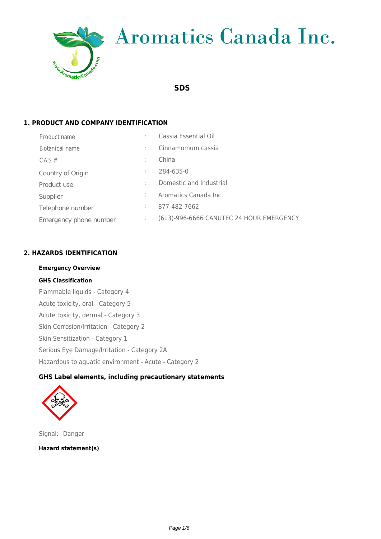Aromatics Canada Inc.

# **SDS**

# **1. PRODUCT AND COMPANY IDENTIFICATION**

**ROA** 

AromaticsCand

| Product name              | Cassia Essential Oil                     |
|---------------------------|------------------------------------------|
| Botanical name            | Cinnamomum cassia                        |
| CAS#                      | China                                    |
| 7ci bhfmcZCf [ ]b         | 284-635-0                                |
| DfcXi Whi gY              | Domestic and Industrial                  |
| Gi dd`]Yf                 | Aromatics Canada Inc.                    |
| HY`Yd\cbY`bi a VYf        | 877-482-7662                             |
| 9a Yff YbWnd\cbY bi a VYf | (613)-996-6666 CANUTEC 24 HOUR EMERGENCY |
|                           |                                          |

# **2. HAZARDS IDENTIFICATION**

#### **Emergency Overview**

#### **GHS Classification**

 Flammable liquids - Category 4 Acute toxicity, oral - Category 5 Acute toxicity, dermal - Category 3 Skin Corrosion/Irritation - Category 2 Skin Sensitization - Category 1 Serious Eye Damage/Irritation - Category 2A Hazardous to aquatic environment - Acute - Category 2

# **GHS Label elements, including precautionary statements**



Signal: Danger

**Hazard statement(s)**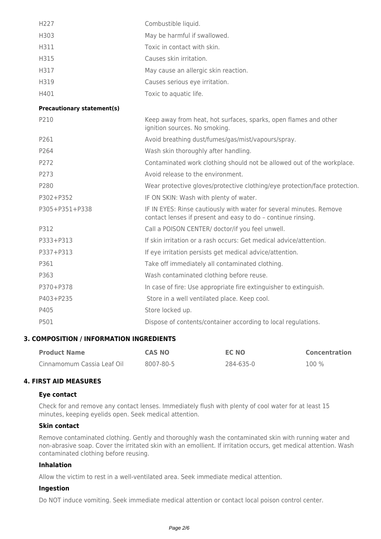| H227                              | Combustible liquid.                                                                                                                 |
|-----------------------------------|-------------------------------------------------------------------------------------------------------------------------------------|
| H303                              | May be harmful if swallowed.                                                                                                        |
| H311                              | Toxic in contact with skin.                                                                                                         |
| H315                              | Causes skin irritation.                                                                                                             |
| H317                              | May cause an allergic skin reaction.                                                                                                |
| H319                              | Causes serious eye irritation.                                                                                                      |
| H401                              | Toxic to aquatic life.                                                                                                              |
| <b>Precautionary statement(s)</b> |                                                                                                                                     |
| P210                              | Keep away from heat, hot surfaces, sparks, open flames and other<br>ignition sources. No smoking.                                   |
| P261                              | Avoid breathing dust/fumes/gas/mist/vapours/spray.                                                                                  |
| P264                              | Wash skin thoroughly after handling.                                                                                                |
| P272                              | Contaminated work clothing should not be allowed out of the workplace.                                                              |
| P273                              | Avoid release to the environment.                                                                                                   |
| P280                              | Wear protective gloves/protective clothing/eye protection/face protection.                                                          |
| P302+P352                         | IF ON SKIN: Wash with plenty of water.                                                                                              |
| P305+P351+P338                    | IF IN EYES: Rinse cautiously with water for several minutes. Remove<br>contact lenses if present and easy to do - continue rinsing. |
| P312                              | Call a POISON CENTER/ doctor/if you feel unwell.                                                                                    |
| P333+P313                         | If skin irritation or a rash occurs: Get medical advice/attention.                                                                  |
| P337+P313                         | If eye irritation persists get medical advice/attention.                                                                            |
| P361                              | Take off immediately all contaminated clothing.                                                                                     |
| P363                              | Wash contaminated clothing before reuse.                                                                                            |
| P370+P378                         | In case of fire: Use appropriate fire extinguisher to extinguish.                                                                   |
| P403+P235                         | Store in a well ventilated place. Keep cool.                                                                                        |
| P405                              | Store locked up.                                                                                                                    |
| P501                              | Dispose of contents/container according to local regulations.                                                                       |
|                                   |                                                                                                                                     |

#### **3. COMPOSITION / INFORMATION INGREDIENTS**

| <b>Product Name</b>        | <b>CAS NO</b> | <b>EC NO</b> | <b>Concentration</b> |
|----------------------------|---------------|--------------|----------------------|
| Cinnamomum Cassia Leaf Oil | 8007-80-5     | 284-635-0    | $100\%$              |

# **4. FIRST AID MEASURES**

#### **Eye contact**

 Check for and remove any contact lenses. Immediately flush with plenty of cool water for at least 15 minutes, keeping eyelids open. Seek medical attention.

#### **Skin contact**

 Remove contaminated clothing. Gently and thoroughly wash the contaminated skin with running water and non-abrasive soap. Cover the irritated skin with an emollient. If irritation occurs, get medical attention. Wash contaminated clothing before reusing.

#### **Inhalation**

Allow the victim to rest in a well-ventilated area. Seek immediate medical attention.

#### **Ingestion**

Do NOT induce vomiting. Seek immediate medical attention or contact local poison control center.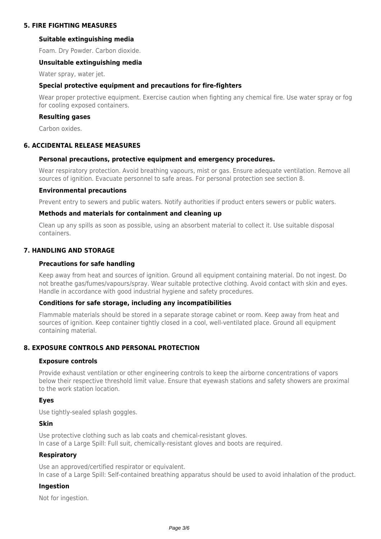#### **5. FIRE FIGHTING MEASURES**

#### **Suitable extinguishing media**

Foam. Dry Powder. Carbon dioxide.

#### **Unsuitable extinguishing media**

Water spray, water jet.

#### **Special protective equipment and precautions for fire-fighters**

Wear proper protective equipment. Exercise caution when fighting any chemical fire. Use water spray or fog for cooling exposed containers.

#### **Resulting gases**

Carbon oxides.

## **6. ACCIDENTAL RELEASE MEASURES**

#### **Personal precautions, protective equipment and emergency procedures.**

Wear respiratory protection. Avoid breathing vapours, mist or gas. Ensure adequate ventilation. Remove all sources of ignition. Evacuate personnel to safe areas. For personal protection see section 8.

#### **Environmental precautions**

Prevent entry to sewers and public waters. Notify authorities if product enters sewers or public waters.

#### **Methods and materials for containment and cleaning up**

Clean up any spills as soon as possible, using an absorbent material to collect it. Use suitable disposal containers.

#### **7. HANDLING AND STORAGE**

#### **Precautions for safe handling**

Keep away from heat and sources of ignition. Ground all equipment containing material. Do not ingest. Do not breathe gas/fumes/vapours/spray. Wear suitable protective clothing. Avoid contact with skin and eyes. Handle in accordance with good industrial hygiene and safety procedures.

#### **Conditions for safe storage, including any incompatibilities**

Flammable materials should be stored in a separate storage cabinet or room. Keep away from heat and sources of ignition. Keep container tightly closed in a cool, well-ventilated place. Ground all equipment containing material.

# **8. EXPOSURE CONTROLS AND PERSONAL PROTECTION**

#### **Exposure controls**

Provide exhaust ventilation or other engineering controls to keep the airborne concentrations of vapors below their respective threshold limit value. Ensure that eyewash stations and safety showers are proximal to the work station location.

#### **Eyes**

Use tightly-sealed splash goggles.

#### **Skin**

Use protective clothing such as lab coats and chemical-resistant gloves. In case of a Large Spill: Full suit, chemically-resistant gloves and boots are required.

#### **Respiratory**

Use an approved/certified respirator or equivalent. In case of a Large Spill: Self-contained breathing apparatus should be used to avoid inhalation of the product.

#### **Ingestion**

Not for ingestion.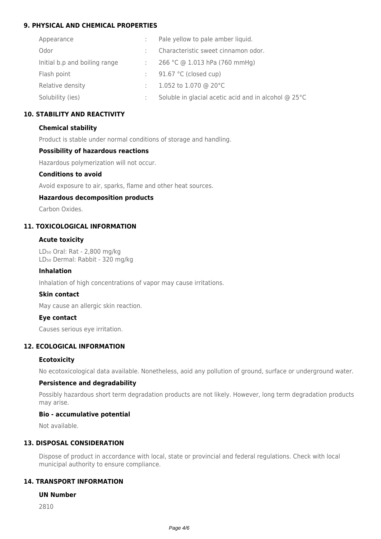# **9. PHYSICAL AND CHEMICAL PROPERTIES**

| Appearance                    | Pale yellow to pale amber liquid.                    |
|-------------------------------|------------------------------------------------------|
| Odor                          | Characteristic sweet cinnamon odor.                  |
| Initial b.p and boiling range | 266 °C @ 1.013 hPa (760 mmHg)                        |
| Flash point                   | 91.67 °C (closed cup)                                |
| Relative density              | 1.052 to 1.070 @ 20°C                                |
| Solubility (ies)              | Soluble in glacial acetic acid and in alcohol @ 25°C |
|                               |                                                      |

# **10. STABILITY AND REACTIVITY**

## **Chemical stability**

Product is stable under normal conditions of storage and handling.

## **Possibility of hazardous reactions**

Hazardous polymerization will not occur.

# **Conditions to avoid**

Avoid exposure to air, sparks, flame and other heat sources.

# **Hazardous decomposition products**

Carbon Oxides.

# **11. TOXICOLOGICAL INFORMATION**

## **Acute toxicity**

LD<sub>50</sub> Oral: Rat - 2,800 mg/kg LD<sub>50</sub> Dermal: Rabbit - 320 mg/kg

#### **Inhalation**

Inhalation of high concentrations of vapor may cause irritations.

#### **Skin contact**

May cause an allergic skin reaction.

#### **Eye contact**

Causes serious eye irritation.

# **12. ECOLOGICAL INFORMATION**

#### **Ecotoxicity**

No ecotoxicological data available. Nonetheless, aoid any pollution of ground, surface or underground water.

#### **Persistence and degradability**

Possibly hazardous short term degradation products are not likely. However, long term degradation products may arise.

#### **Bio - accumulative potential**

Not available.

# **13. DISPOSAL CONSIDERATION**

Dispose of product in accordance with local, state or provincial and federal regulations. Check with local municipal authority to ensure compliance.

## **14. TRANSPORT INFORMATION**

#### **UN Number**

2810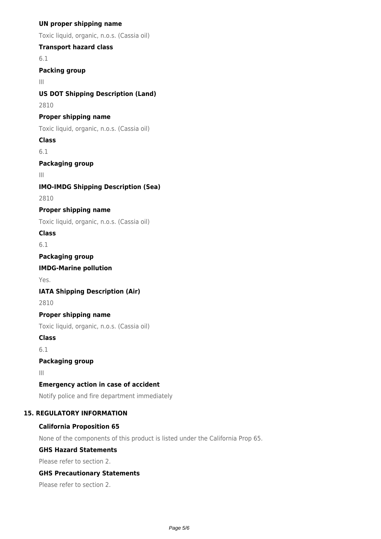# **UN proper shipping name**

Toxic liquid, organic, n.o.s. (Cassia oil)

# **Transport hazard class**

6.1

# **Packing group**

III

# **US DOT Shipping Description (Land)**

2810

# **Proper shipping name**

Toxic liquid, organic, n.o.s. (Cassia oil)

# **Class**

6.1

# **Packaging group**

III

# **IMO-IMDG Shipping Description (Sea)**

2810

# **Proper shipping name**

Toxic liquid, organic, n.o.s. (Cassia oil)

# **Class**

6.1

# **Packaging group**

# **IMDG-Marine pollution**

Yes.

# **IATA Shipping Description (Air)**

2810

# **Proper shipping name**

Toxic liquid, organic, n.o.s. (Cassia oil)

# **Class**

6.1

# **Packaging group**

III

# **Emergency action in case of accident**

Notify police and fire department immediately

# **15. REGULATORY INFORMATION**

# **California Proposition 65**

None of the components of this product is listed under the California Prop 65.

# **GHS Hazard Statements**

Please refer to section 2.

# **GHS Precautionary Statements**

Please refer to section 2.